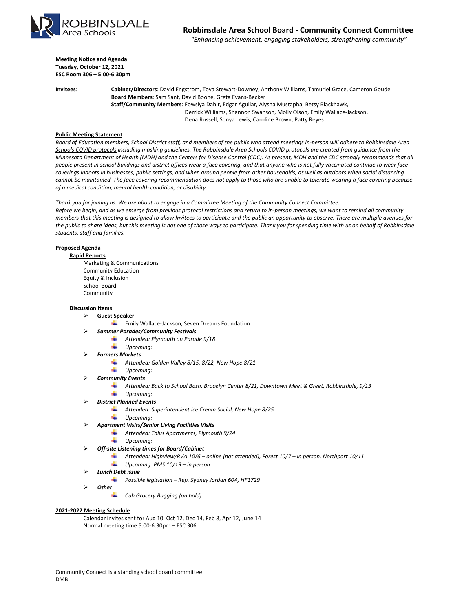

 *"Enhancing achievement, engaging stakeholders, strengthening community"*

**Meeting Notice and Agenda Tuesday, October 12, 2021 ESC Room 306 – 5:00-6:30pm**

**Invitees**: **Cabinet/Directors**: David Engstrom, Toya Stewart-Downey, Anthony Williams, Tamuriel Grace, Cameron Goude **Board Members**: Sam Sant, David Boone, Greta Evans-Becker **Staff/Community Members**: Fowsiya Dahir, Edgar Aguilar, Aiysha Mustapha, Betsy Blackhawk, Derrick Williams, Shannon Swanson, Molly Olson, Emily Wallace-Jackson, Dena Russell, Sonya Lewis, Caroline Brown, Patty Reyes

## **Public Meeting Statement**

*Board of Education members, School District staff, and members of the public who attend meetings in-person will adhere to [Robbinsdale Area](https://resources.finalsite.net/images/v1623421194/rdaleorg/w7czqtl9wwrsnm3up1wl/SummerProgramsCOVIDProtocols.pdf)  [Schools COVID protocols](https://resources.finalsite.net/images/v1623421194/rdaleorg/w7czqtl9wwrsnm3up1wl/SummerProgramsCOVIDProtocols.pdf) including masking guidelines. The Robbinsdale Area Schools COVID protocols are created from guidance from the Minnesota Department of Health (MDH) and the Centers for Disease Control (CDC). At present, MDH and the CDC strongly recommends that all people present in school buildings and district offices wear a face covering, and that anyone who is not fully vaccinated continue to wear face coverings indoors in businesses, public settings, and when around people from other households, as well as outdoors when social distancing cannot be maintained. The face covering recommendation does not apply to those who are unable to tolerate wearing a face covering because of a medical condition, mental health condition, or disability.*

*Thank you for joining us. We are about to engage in a Committee Meeting of the Community Connect Committee. Before we begin, and as we emerge from previous protocol restrictions and return to in-person meetings, we want to remind all community members that this meeting is designed to allow Invitees to participate and the public an opportunity to observe. There are multiple avenues for the public to share ideas, but this meeting is not one of those ways to participate. Thank you for spending time with us on behalf of Robbinsdale students, staff and families.*

## **Proposed Agenda**

#### **Rapid Reports**

Marketing & Communications Community Education Equity & Inclusion School Board Community

#### **Discussion Items**

### **Guest Speaker**

- $\frac{1}{2}$  Emily Wallace-Jackson, Seven Dreams Foundation
- *Summer Parades/Community Festivals*
	- *Attended: Plymouth on Parade 9/18* ÷
		- *Upcoming:*
- *Farmers Markets*
	- *Attended: Golden Valley 8/15, 8/22, New Hope 8/21*
	- ┹ *Upcoming:*
	- *Community Events*
		- *Attended: Back to School Bash, Brooklyn Center 8/21, Downtown Meet & Greet, Robbinsdale, 9/13* 4 *Upcoming:*
- *District Planned Events*
	- *Attended: Superintendent Ice Cream Social, New Hope 8/25*
	- *Upcoming:*
- *Apartment Visits/Senior Living Facilities Visits*
	- *Attended: Talus Apartments, Plymouth 9/24*
	- 4 *Upcoming:*
- *Off-site Listening times for Board/Cabinet*
	- *Attended: Highview/RVA 10/6 – online (not attended), Forest 10/7 – in person, Northport 10/11*
	- ┹ *Upcoming: PMS 10/19 – in person*
- *Lunch Debt issue*
	- ÷ *Possible legislation – Rep. Sydney Jordan 60A, HF1729*
- *Other*
	- *Cub Grocery Bagging (on hold)*

#### **2021-2022 Meeting Schedule**

Calendar invites sent for Aug 10, Oct 12, Dec 14, Feb 8, Apr 12, June 14 Normal meeting time 5:00-6:30pm – ESC 306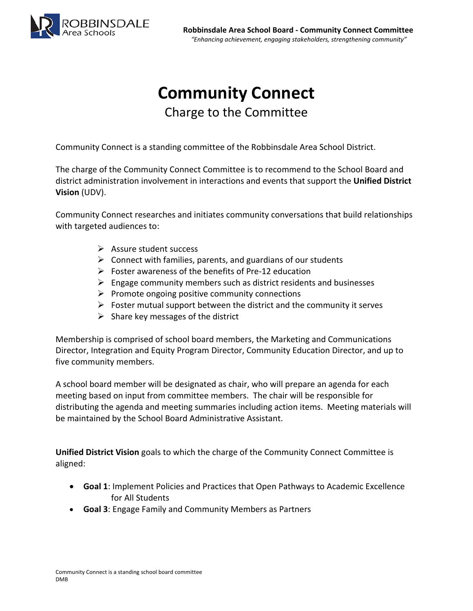

# **Community Connect**

Charge to the Committee

Community Connect is a standing committee of the Robbinsdale Area School District.

The charge of the Community Connect Committee is to recommend to the School Board and district administration involvement in interactions and events that support the **Unified District Vision** (UDV).

Community Connect researches and initiates community conversations that build relationships with targeted audiences to:

- $\triangleright$  Assure student success
- $\triangleright$  Connect with families, parents, and guardians of our students
- $\triangleright$  Foster awareness of the benefits of Pre-12 education
- $\triangleright$  Engage community members such as district residents and businesses
- $\triangleright$  Promote ongoing positive community connections
- $\triangleright$  Foster mutual support between the district and the community it serves
- $\triangleright$  Share key messages of the district

Membership is comprised of school board members, the Marketing and Communications Director, Integration and Equity Program Director, Community Education Director, and up to five community members.

A school board member will be designated as chair, who will prepare an agenda for each meeting based on input from committee members. The chair will be responsible for distributing the agenda and meeting summaries including action items. Meeting materials will be maintained by the School Board Administrative Assistant.

**Unified District Vision** goals to which the charge of the Community Connect Committee is aligned:

- **Goal 1**: Implement Policies and Practices that Open Pathways to Academic Excellence for All Students
- **Goal 3**: Engage Family and Community Members as Partners